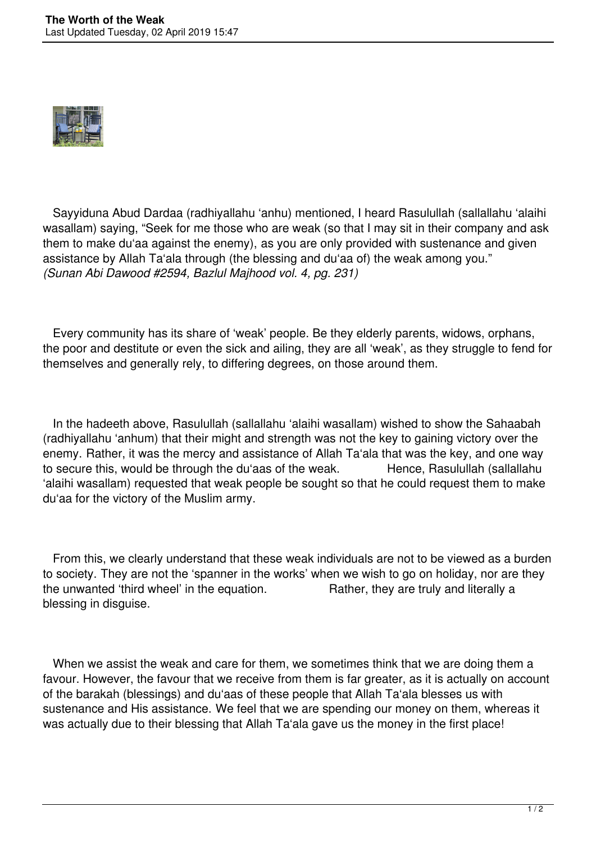

 Sayyiduna Abud Dardaa (radhiyallahu 'anhu) mentioned, I heard Rasulullah (sallallahu 'alaihi wasallam) saying, "Seek for me those who are weak (so that I may sit in their company and ask them to make du'aa against the enemy), as you are only provided with sustenance and given assistance by Allah Ta'ala through (the blessing and du'aa of) the weak among you." *(Sunan Abi Dawood #2594, Bazlul Majhood vol. 4, pg. 231)*

 Every community has its share of 'weak' people. Be they elderly parents, widows, orphans, the poor and destitute or even the sick and ailing, they are all 'weak', as they struggle to fend for themselves and generally rely, to differing degrees, on those around them.

 In the hadeeth above, Rasulullah (sallallahu 'alaihi wasallam) wished to show the Sahaabah (radhiyallahu 'anhum) that their might and strength was not the key to gaining victory over the enemy. Rather, it was the mercy and assistance of Allah Ta'ala that was the key, and one way to secure this, would be through the du'aas of the weak. Hence, Rasulullah (sallallahu 'alaihi wasallam) requested that weak people be sought so that he could request them to make du'aa for the victory of the Muslim army.

 From this, we clearly understand that these weak individuals are not to be viewed as a burden to society. They are not the 'spanner in the works' when we wish to go on holiday, nor are they the unwanted 'third wheel' in the equation. Rather, they are truly and literally a blessing in disguise.

 When we assist the weak and care for them, we sometimes think that we are doing them a favour. However, the favour that we receive from them is far greater, as it is actually on account of the barakah (blessings) and du'aas of these people that Allah Ta'ala blesses us with sustenance and His assistance. We feel that we are spending our money on them, whereas it was actually due to their blessing that Allah Ta'ala gave us the money in the first place!